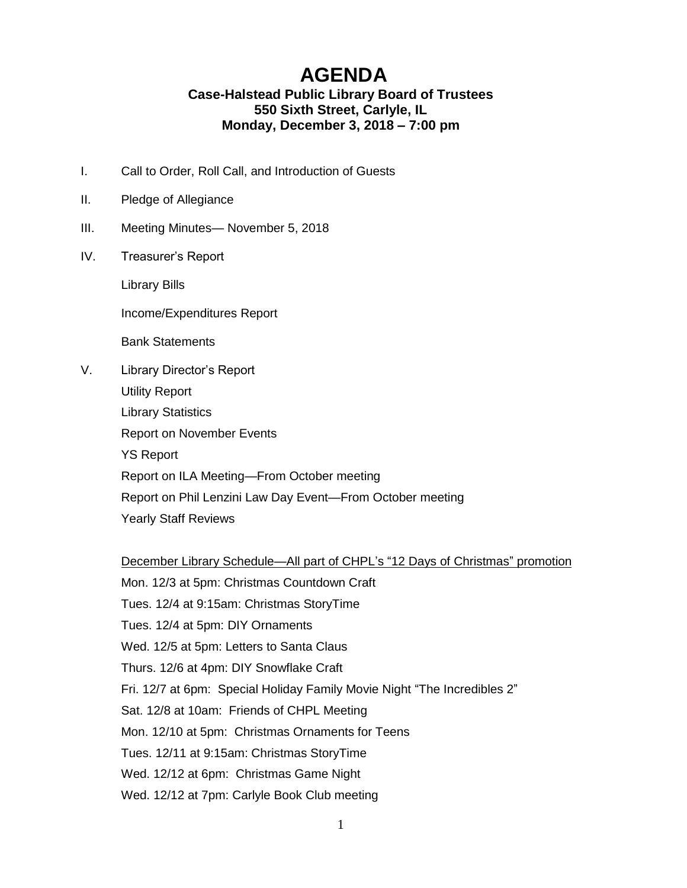## **AGENDA**

## **Case-Halstead Public Library Board of Trustees 550 Sixth Street, Carlyle, IL Monday, December 3, 2018 – 7:00 pm**

- I. Call to Order, Roll Call, and Introduction of Guests
- II. Pledge of Allegiance
- III. Meeting Minutes— November 5, 2018
- IV. Treasurer's Report

Library Bills

Income/Expenditures Report

Bank Statements

V. Library Director's Report

Utility Report Library Statistics Report on November Events YS Report Report on ILA Meeting—From October meeting Report on Phil Lenzini Law Day Event—From October meeting Yearly Staff Reviews

## December Library Schedule—All part of CHPL's "12 Days of Christmas" promotion

Mon. 12/3 at 5pm: Christmas Countdown Craft Tues. 12/4 at 9:15am: Christmas StoryTime Tues. 12/4 at 5pm: DIY Ornaments Wed. 12/5 at 5pm: Letters to Santa Claus Thurs. 12/6 at 4pm: DIY Snowflake Craft Fri. 12/7 at 6pm: Special Holiday Family Movie Night "The Incredibles 2" Sat. 12/8 at 10am: Friends of CHPL Meeting Mon. 12/10 at 5pm: Christmas Ornaments for Teens Tues. 12/11 at 9:15am: Christmas StoryTime Wed. 12/12 at 6pm: Christmas Game Night Wed. 12/12 at 7pm: Carlyle Book Club meeting